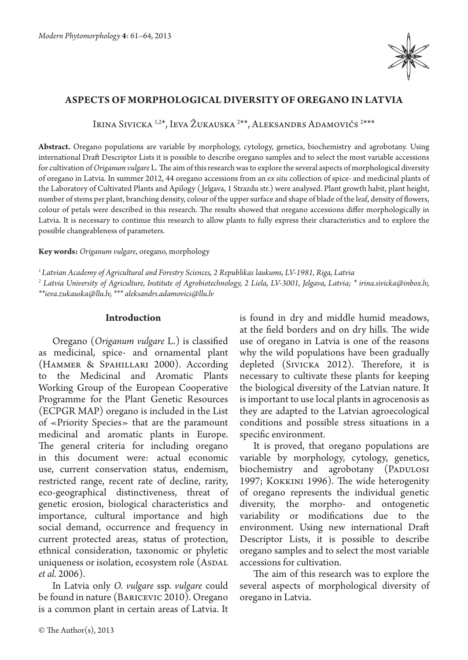

# **Aspects of morphological diversity of oregano in Latvia**

Irina Sivicka <sup>1,2\*</sup>, Ieva Žukauska <sup>2\*\*</sup>, Aleksandrs Adamovičs <sup>2\*\*\*</sup>

**Abstract.** Oregano populations are variable by morphology, cytology, genetics, biochemistry and agrobotany. Using international Draft Descriptor Lists it is possible to describe oregano samples and to select the most variable accessions for cultivation of *Origanum vulgare* L. The aim of this research was to explore the several aspects of morphological diversity of oregano in Latvia. In summer 2012, 44 oregano accessions from an *ex situ* collection of spice- and medicinal plants of the Laboratory of Cultivated Plants and Apilogy ( Jelgava, 1 Strazdu str.) were analysed. Plant growth habit, plant height, number of stems per plant, branching density, colour of the upper surface and shape of blade of the leaf, density of flowers, colour of petals were described in this research. The results showed that oregano accessions differ morphologically in Latvia. It is necessary to continue this research to allow plants to fully express their characteristics and to explore the possible changeableness of parameters.

**Key words:** *Origanum vulgare*, oregano, morphology

*1 Latvian Academy of Agricultural and Forestry Sciences, 2 Republikas laukums, LV-1981, Riga, Latvia*

*2 Latvia University of Agriculture, Institute of Agrobiotechnology, 2 Liela, LV-3001, Jelgava, Latvia; \* irina.sivicka@inbox.lv, \*\*ieva.zukauska@llu.lv, \*\*\* aleksandrs.adamovics@llu.lv*

## **Introduction**

Oregano (*Origanum vulgare* L.) is classified as medicinal, spice- and ornamental plant (Hammer & Spahillari 2000). According to the Medicinal and Aromatic Plants Working Group of the European Cooperative Programme for the Plant Genetic Resources (ECPGR MAP) oregano is included in the List of «Priority Species» that are the paramount medicinal and aromatic plants in Europe. The general criteria for including oregano in this document were: actual economic use, current conservation status, endemism, restricted range, recent rate of decline, rarity, eco-geographical distinctiveness, threat of genetic erosion, biological characteristics and importance, cultural importance and high social demand, occurrence and frequency in current protected areas, status of protection, ethnical consideration, taxonomic or phyletic uniqueness or isolation, ecosystem role (ASDAL *et al.* 2006).

In Latvia only *O. vulgare* ssp. *vulgare* could be found in nature (Baricevic 2010). Oregano is a common plant in certain areas of Latvia. It is found in dry and middle humid meadows, at the field borders and on dry hills. The wide use of oregano in Latvia is one of the reasons why the wild populations have been gradually depleted (Sivicka 2012). Therefore, it is necessary to cultivate these plants for keeping the biological diversity of the Latvian nature. It is important to use local plants in agrocenosis as they are adapted to the Latvian agroecological conditions and possible stress situations in a specific environment.

It is proved, that oregano populations are variable by morphology, cytology, genetics, biochemistry and agrobotany (PADULOSI 1997; Kokkini 1996). The wide heterogenity of oregano represents the individual genetic diversity, the morpho- and ontogenetic variability or modifications due to the environment. Using new international Draft Descriptor Lists, it is possible to describe oregano samples and to select the most variable accessions for cultivation.

The aim of this research was to explore the several aspects of morphological diversity of oregano in Latvia.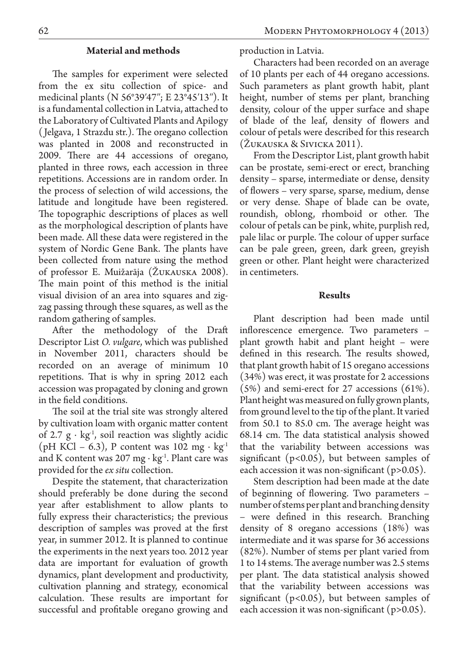### **Material and methods**

The samples for experiment were selected from the ex situ collection of spice- and medicinal plants (N 56°39′47′′; E 23°45′13′′). It is a fundamental collection in Latvia, attached to the Laboratory of Cultivated Plants and Apilogy ( Jelgava, 1 Strazdu str.). The oregano collection was planted in 2008 and reconstructed in 2009. There are 44 accessions of oregano, planted in three rows, each accession in three repetitions. Accessions are in random order. In the process of selection of wild accessions, the latitude and longitude have been registered. The topographic descriptions of places as well as the morphological description of plants have been made. All these data were registered in the system of Nordic Gene Bank. The plants have been collected from nature using the method of professor E. Muižarāja (Žukauska 2008). The main point of this method is the initial visual division of an area into squares and zigzag passing through these squares, as well as the random gathering of samples.

After the methodology of the Draft Descriptor List *O. vulgare*, which was published in November 2011, characters should be recorded on an average of minimum 10 repetitions. That is why in spring 2012 each accession was propagated by cloning and grown in the field conditions.

The soil at the trial site was strongly altered by cultivation loam with organic matter content of 2.7  $g \cdot kg^{-1}$ , soil reaction was slightly acidic (pH KCl – 6.3), P content was 102 mg ⋅ kg<sup>1</sup> and K content was 207 mg ⋅ kg<sup>-1</sup>. Plant care was provided for the *ex situ* collection.

Despite the statement, that characterization should preferably be done during the second year after establishment to allow plants to fully express their characteristics; the previous description of samples was proved at the first year, in summer 2012. It is planned to continue the experiments in the next years too. 2012 year data are important for evaluation of growth dynamics, plant development and productivity, cultivation planning and strategy, economical calculation. These results are important for successful and profitable oregano growing and production in Latvia.

Characters had been recorded on an average of 10 plants per each of 44 oregano accessions. Such parameters as plant growth habit, plant height, number of stems per plant, branching density, colour of the upper surface and shape of blade of the leaf, density of flowers and colour of petals were described for this research (Žukauska & Sivicka 2011).

From the Descriptor List, plant growth habit can be prostate, semi-erect or erect, branching density – sparse, intermediate or dense, density of flowers – very sparse, sparse, medium, dense or very dense. Shape of blade can be ovate, roundish, oblong, rhomboid or other. The colour of petals can be pink, white, purplish red, pale lilac or purple. The colour of upper surface can be pale green, green, dark green, greyish green or other. Plant height were characterized in centimeters.

### **Results**

Plant description had been made until inflorescence emergence. Two parameters – plant growth habit and plant height – were defined in this research. The results showed, that plant growth habit of 15 oregano accessions (34%) was erect, it was prostate for 2 accessions (5%) and semi-erect for 27 accessions (61%). Plant height was measured on fully grown plants, from ground level to the tip of the plant. It varied from 50.1 to 85.0 cm. The average height was 68.14 cm. The data statistical analysis showed that the variability between accessions was significant (p<0.05), but between samples of each accession it was non-significant (p>0.05).

Stem description had been made at the date of beginning of flowering. Two parameters – number of stems per plant and branching density – were defined in this research. Branching density of 8 oregano accessions (18%) was intermediate and it was sparse for 36 accessions (82%). Number of stems per plant varied from 1 to 14 stems. The average number was 2.5 stems per plant. The data statistical analysis showed that the variability between accessions was significant  $(p<0.05)$ , but between samples of each accession it was non-significant (p>0.05).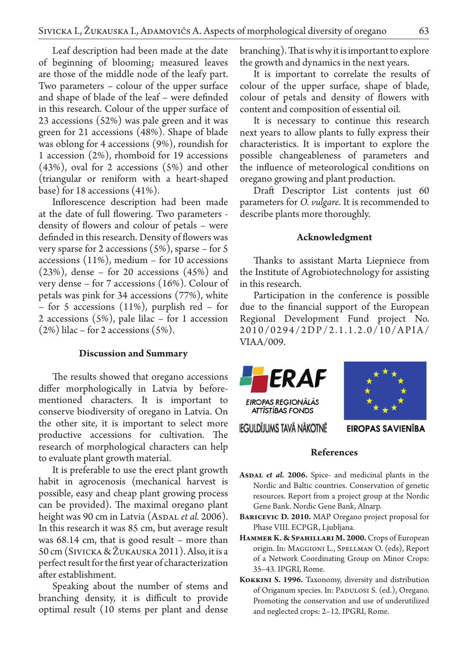Leaf description had been made at the date of beginning of blooming; measured leaves are those of the middle node of the leafy part. Two parameters – colour of the upper surface and shape of blade of the leaf – were definded in this research. Colour of the upper surface of 23 accessions (52%) was pale green and it was green for 21 accessions (48%). Shape of blade was oblong for 4 accessions (9%), roundish for 1 accession (2%), rhomboid for 19 accessions (43%), oval for 2 accessions (5%) and other (triangular or reniform with a heart-shaped base) for 18 accessions (41%).

Inflorescence description had been made at the date of full flowering. Two parameters density of flowers and colour of petals – were definded in this research. Density of flowers was very sparse for 2 accessions (5%), sparse – for 5 accessions (11%), medium – for 10 accessions (23%), dense – for 20 accessions (45%) and very dense – for 7 accessions (16%). Colour of petals was pink for 34 accessions (77%), white – for 5 accessions (11%), purplish red – for 2 accessions (5%), pale lilac – for 1 accession  $(2\%)$  lilac – for 2 accessions  $(5\%)$ .

### **Discussion and Summary**

The results showed that oregano accessions differ morphologically in Latvia by beforementioned characters. It is important to conserve biodiversity of oregano in Latvia. On the other site, it is important to select more productive accessions for cultivation. The research of morphological characters can help to evaluate plant growth material.

It is preferable to use the erect plant growth habit in agrocenosis (mechanical harvest is possible, easy and cheap plant growing process can be provided). The maximal oregano plant height was 90 cm in Latvia (AsDAL et al. 2006). In this research it was 85 cm, but average result was 68.14 cm, that is good result – more than 50 cm (Sivicka & Žukauska 2011). Also, it is a perfect result for the first year of characterization after establishment.

Speaking about the number of stems and branching density, it is difficult to provide optimal result (10 stems per plant and dense branching). That is why it is important to explore the growth and dynamics in the next years.

It is important to correlate the results of colour of the upper surface, shape of blade, colour of petals and density of flowers with content and composition of essential oil.

It is necessary to continue this research next years to allow plants to fully express their characteristics. It is important to explore the possible changeableness of parameters and the influence of meteorological conditions on oregano growing and plant production.

Draft Descriptor List contents just 60 parameters for *O. vulgare*. It is recommended to describe plants more thoroughly.

#### **Acknowledgment**

Thanks to assistant Marta Liepniece from the Institute of Agrobiotechnology for assisting in this research.

Participation in the conference is possible due to the financial support of the European Regional Development Fund project No. 2010/0294/2DP/2.1.1.2.0/10/APIA/ VIAA/009.





IEGULDIJUMS TAVA NAKOTNE

**EIROPAS SAVIENĪBA** 

## **References**

- ASDAL *et al.* 2006. Spice- and medicinal plants in the Nordic and Baltic countries. Conservation of genetic resources. Report from a project group at the Nordic Gene Bank. Nordic Gene Bank, Alnarp.
- **Baricevic D. 2010.** MAP Oregano project proposal for Phase VIII. ECPGR, Ljubljana.
- HAMMER K. & SPAHILLARI M. 2000. Crops of European origin. In: Maggioni L., Spellman O. (eds), Report of a Network Coordinating Group on Minor Crops: 35–43. IPGRI, Rome.
- **Kokkini S. 1996.** Taxonomy, diversity and distribution of Origanum species. In: PADULOSI S. (ed.), Oregano. Promoting the conservation and use of underutilized and neglected crops: 2–12. IPGRI, Rome.